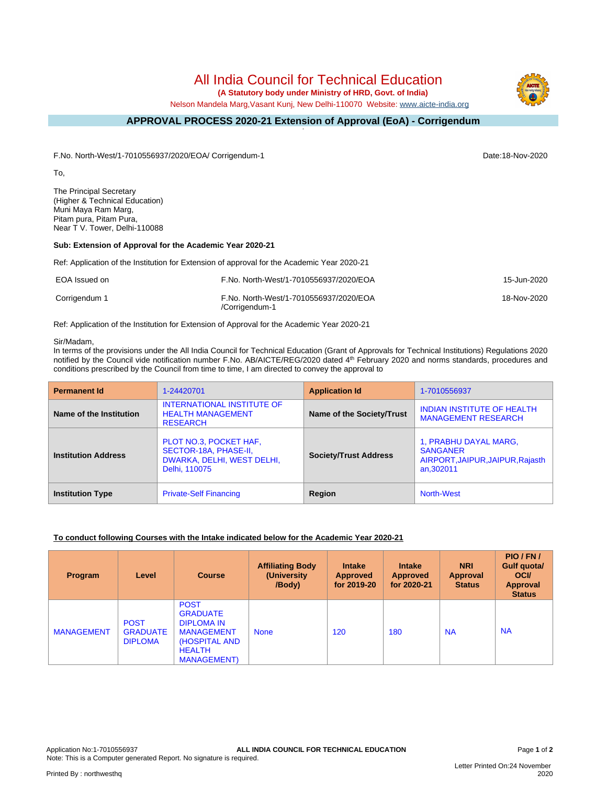# All India Council for Technical Education

 **(A Statutory body under Ministry of HRD, Govt. of India)**

Nelson Mandela Marg,Vasant Kunj, New Delhi-110070 Website: [www.aicte-india.org](http://www.aicte-india.org)

#### **APPROVAL PROCESS 2020-21 Extension of Approval (EoA) - Corrigendum -**

F.No. North-West/1-7010556937/2020/EOA/ Corrigendum-1 Date:18-Nov-2020

To,

The Principal Secretary (Higher & Technical Education) Muni Maya Ram Marg, Pitam pura, Pitam Pura, Near T V. Tower, Delhi-110088

### **Sub: Extension of Approval for the Academic Year 2020-21**

Ref: Application of the Institution for Extension of approval for the Academic Year 2020-21

| EOA Issued on | F.No. North-West/1-7010556937/2020/EOA                   | 15-Jun-2020 |
|---------------|----------------------------------------------------------|-------------|
| Corrigendum 1 | F.No. North-West/1-7010556937/2020/EOA<br>/Corrigendum-1 | 18-Nov-2020 |

Ref: Application of the Institution for Extension of Approval for the Academic Year 2020-21

#### Sir/Madam,

In terms of the provisions under the All India Council for Technical Education (Grant of Approvals for Technical Institutions) Regulations 2020 notified by the Council vide notification number F.No. AB/AICTE/REG/2020 dated 4<sup>th</sup> February 2020 and norms standards, procedures and conditions prescribed by the Council from time to time, I am directed to convey the approval to

| <b>Permanent Id</b>        | 1-24420701                                                                                     | <b>Application Id</b>        | 1-7010556937                                                                              |
|----------------------------|------------------------------------------------------------------------------------------------|------------------------------|-------------------------------------------------------------------------------------------|
| Name of the Institution    | <b>INTERNATIONAL INSTITUTE OF</b><br><b>HEALTH MANAGEMENT</b><br><b>RESEARCH</b>               | Name of the Society/Trust    | <b>INDIAN INSTITUTE OF HEALTH</b><br><b>MANAGEMENT RESEARCH</b>                           |
| <b>Institution Address</b> | PLOT NO.3, POCKET HAF,<br>SECTOR-18A, PHASE-II,<br>DWARKA, DELHI, WEST DELHI,<br>Delhi, 110075 | <b>Society/Trust Address</b> | 1, PRABHU DAYAL MARG,<br><b>SANGANER</b><br>AIRPORT, JAIPUR, JAIPUR, Rajasth<br>an.302011 |
| <b>Institution Type</b>    | <b>Private-Self Financing</b>                                                                  | Region                       | <b>North-West</b>                                                                         |

# **To conduct following Courses with the Intake indicated below for the Academic Year 2020-21**

| <b>Program</b>    | Level                                            | <b>Course</b>                                                                                                                     | <b>Affiliating Body</b><br>(University)<br>/Body) | <b>Intake</b><br>Approved<br>for 2019-20 | <b>Intake</b><br><b>Approved</b><br>for 2020-21 | <b>NRI</b><br>Approval<br><b>Status</b> | PIO/FN/<br>Gulf quota/<br><b>OCI</b><br><b>Approval</b><br><b>Status</b> |
|-------------------|--------------------------------------------------|-----------------------------------------------------------------------------------------------------------------------------------|---------------------------------------------------|------------------------------------------|-------------------------------------------------|-----------------------------------------|--------------------------------------------------------------------------|
| <b>MANAGEMENT</b> | <b>POST</b><br><b>GRADUATE</b><br><b>DIPLOMA</b> | <b>POST</b><br><b>GRADUATE</b><br><b>DIPLOMA IN</b><br><b>MANAGEMENT</b><br>(HOSPITAL AND<br><b>HEALTH</b><br><b>MANAGEMENT</b> ) | <b>None</b>                                       | 120                                      | 180                                             | <b>NA</b>                               | <b>NA</b>                                                                |